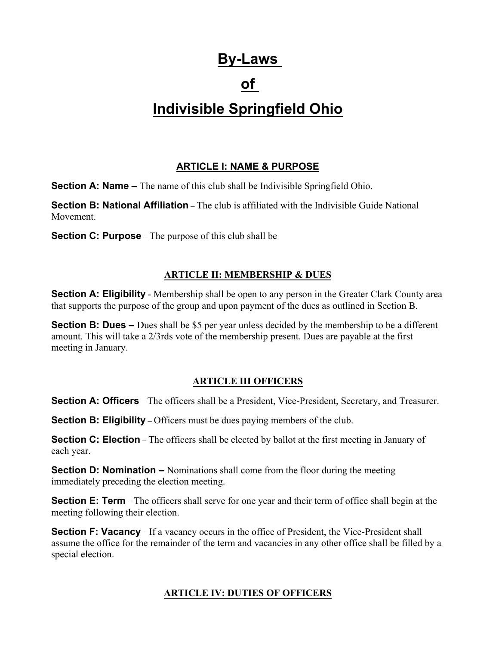# **By-Laws**

# **of**

# **Indivisible Springfield Ohio**

# **ARTICLE I: NAME & PURPOSE**

**Section A: Name** – The name of this club shall be Indivisible Springfield Ohio.

**Section B: National Affiliation** – The club is affiliated with the Indivisible Guide National Movement.

**Section C: Purpose** – The purpose of this club shall be

#### **ARTICLE II: MEMBERSHIP & DUES**

**Section A: Eligibility** - Membership shall be open to any person in the Greater Clark County area that supports the purpose of the group and upon payment of the dues as outlined in Section B.

**Section B: Dues –** Dues shall be \$5 per year unless decided by the membership to be a different amount. This will take a 2/3rds vote of the membership present. Dues are payable at the first meeting in January.

## **ARTICLE III OFFICERS**

**Section A: Officers** – The officers shall be a President, Vice-President, Secretary, and Treasurer.

**Section B: Eligibility** – Officers must be dues paying members of the club.

**Section C: Election** – The officers shall be elected by ballot at the first meeting in January of each year.

**Section D: Nomination –** Nominations shall come from the floor during the meeting immediately preceding the election meeting.

**Section E: Term** – The officers shall serve for one year and their term of office shall begin at the meeting following their election.

**Section F: Vacancy** – If a vacancy occurs in the office of President, the Vice-President shall assume the office for the remainder of the term and vacancies in any other office shall be filled by a special election.

#### **ARTICLE IV: DUTIES OF OFFICERS**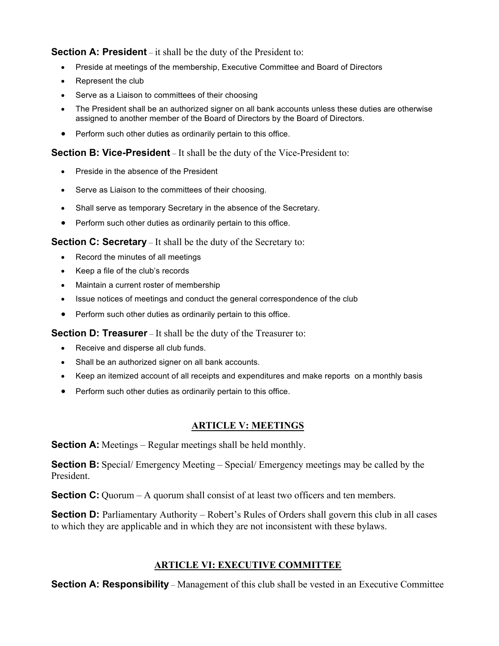**Section A: President** – it shall be the duty of the President to:

- Preside at meetings of the membership, Executive Committee and Board of Directors
- Represent the club
- Serve as a Liaison to committees of their choosing
- The President shall be an authorized signer on all bank accounts unless these duties are otherwise assigned to another member of the Board of Directors by the Board of Directors.
- Perform such other duties as ordinarily pertain to this office.

**Section B: Vice-President** – It shall be the duty of the Vice-President to:

- Preside in the absence of the President
- Serve as Liaison to the committees of their choosing.
- Shall serve as temporary Secretary in the absence of the Secretary.
- Perform such other duties as ordinarily pertain to this office.

**Section C: Secretary** – It shall be the duty of the Secretary to:

- Record the minutes of all meetings
- Keep a file of the club's records
- Maintain a current roster of membership
- Issue notices of meetings and conduct the general correspondence of the club
- Perform such other duties as ordinarily pertain to this office.

**Section D: Treasurer** – It shall be the duty of the Treasurer to:

- Receive and disperse all club funds.
- Shall be an authorized signer on all bank accounts.
- Keep an itemized account of all receipts and expenditures and make reports on a monthly basis
- Perform such other duties as ordinarily pertain to this office.

#### **ARTICLE V: MEETINGS**

**Section A:** Meetings – Regular meetings shall be held monthly.

**Section B:** Special/ Emergency Meeting – Special/ Emergency meetings may be called by the President.

**Section C:** Quorum – A quorum shall consist of at least two officers and ten members.

**Section D:** Parliamentary Authority – Robert's Rules of Orders shall govern this club in all cases to which they are applicable and in which they are not inconsistent with these bylaws.

#### **ARTICLE VI: EXECUTIVE COMMITTEE**

**Section A: Responsibility** – Management of this club shall be vested in an Executive Committee